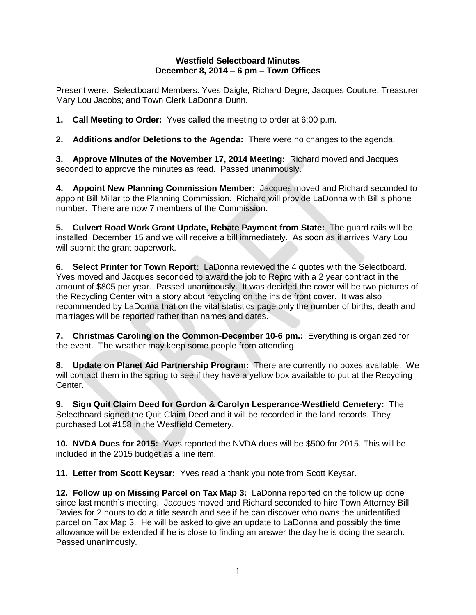## **Westfield Selectboard Minutes December 8, 2014 – 6 pm – Town Offices**

Present were: Selectboard Members: Yves Daigle, Richard Degre; Jacques Couture; Treasurer Mary Lou Jacobs; and Town Clerk LaDonna Dunn.

**1. Call Meeting to Order:** Yves called the meeting to order at 6:00 p.m.

**2. Additions and/or Deletions to the Agenda:** There were no changes to the agenda.

**3. Approve Minutes of the November 17, 2014 Meeting:** Richard moved and Jacques seconded to approve the minutes as read. Passed unanimously.

**4. Appoint New Planning Commission Member:** Jacques moved and Richard seconded to appoint Bill Millar to the Planning Commission. Richard will provide LaDonna with Bill's phone number. There are now 7 members of the Commission.

**5. Culvert Road Work Grant Update, Rebate Payment from State:** The guard rails will be installed December 15 and we will receive a bill immediately. As soon as it arrives Mary Lou will submit the grant paperwork.

**6. Select Printer for Town Report:** LaDonna reviewed the 4 quotes with the Selectboard. Yves moved and Jacques seconded to award the job to Repro with a 2 year contract in the amount of \$805 per year. Passed unanimously. It was decided the cover will be two pictures of the Recycling Center with a story about recycling on the inside front cover. It was also recommended by LaDonna that on the vital statistics page only the number of births, death and marriages will be reported rather than names and dates.

**7. Christmas Caroling on the Common-December 10-6 pm.:** Everything is organized for the event. The weather may keep some people from attending.

**8. Update on Planet Aid Partnership Program:** There are currently no boxes available. We will contact them in the spring to see if they have a yellow box available to put at the Recycling Center.

**9. Sign Quit Claim Deed for Gordon & Carolyn Lesperance-Westfield Cemetery:** The Selectboard signed the Quit Claim Deed and it will be recorded in the land records. They purchased Lot #158 in the Westfield Cemetery.

**10. NVDA Dues for 2015:** Yves reported the NVDA dues will be \$500 for 2015. This will be included in the 2015 budget as a line item.

**11. Letter from Scott Keysar:** Yves read a thank you note from Scott Keysar.

**12. Follow up on Missing Parcel on Tax Map 3:** LaDonna reported on the follow up done since last month's meeting. Jacques moved and Richard seconded to hire Town Attorney Bill Davies for 2 hours to do a title search and see if he can discover who owns the unidentified parcel on Tax Map 3. He will be asked to give an update to LaDonna and possibly the time allowance will be extended if he is close to finding an answer the day he is doing the search. Passed unanimously.